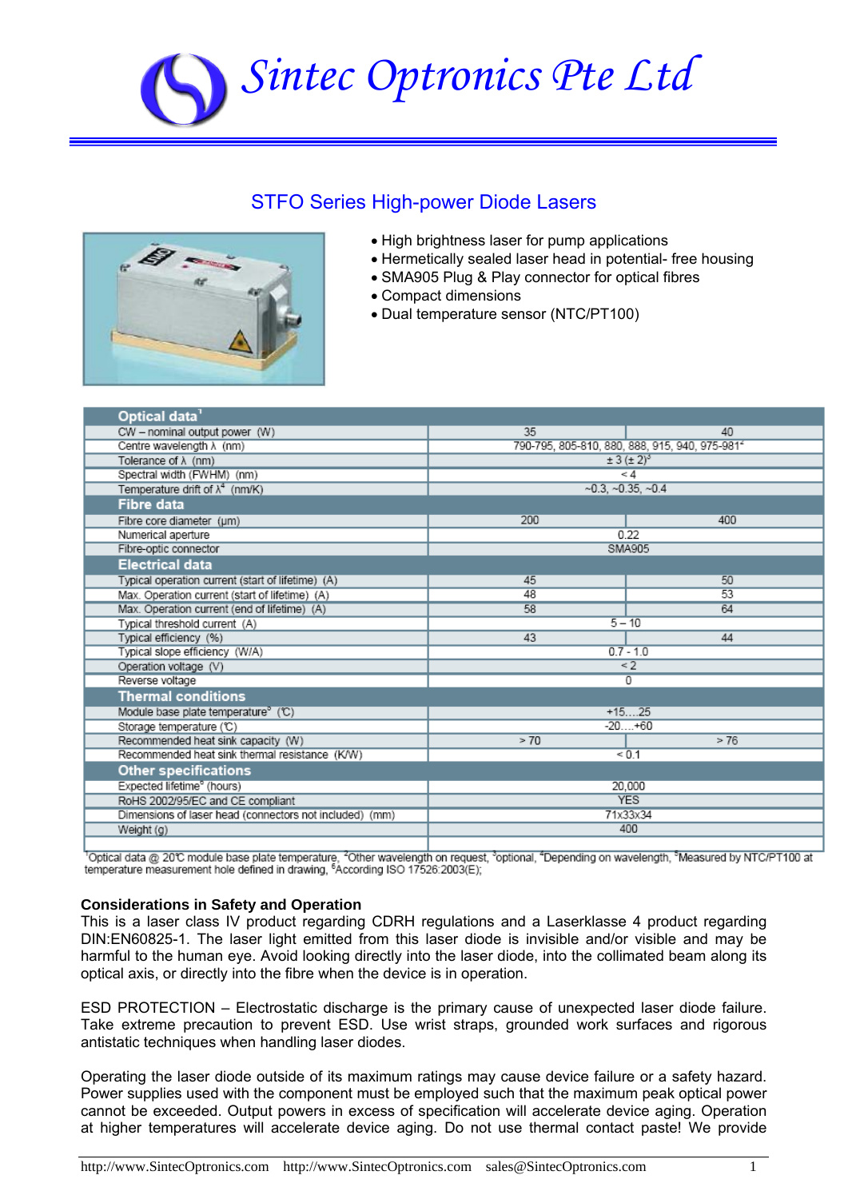# *Sintec Optronics Pte Ltd*

## STFO Series High-power Diode Lasers



- High brightness laser for pump applications
- Hermetically sealed laser head in potential- free housing
- SMA905 Plug & Play connector for optical fibres
- Compact dimensions
- Dual temperature sensor (NTC/PT100)

| Optical data <sup>1</sup>                               |                                                            |       |  |
|---------------------------------------------------------|------------------------------------------------------------|-------|--|
| CW - nominal output power (W)                           | 35                                                         | 40    |  |
| Centre wavelength $\lambda$ (nm)                        | 790-795, 805-810, 880, 888, 915, 940, 975-981 <sup>2</sup> |       |  |
| Tolerance of $\lambda$ (nm)                             | $\pm 3 (\pm 2)^3$                                          |       |  |
| Spectral width (FWHM) (nm)                              | < 4                                                        |       |  |
| Temperature drift of $\lambda^4$ (nm/K)                 | $-0.3, -0.35, -0.4$                                        |       |  |
| Fibre data                                              |                                                            |       |  |
| Fibre core diameter (um)                                | 200                                                        | 400   |  |
| Numerical aperture                                      | 0.22                                                       |       |  |
| Fibre-optic connector                                   | SMA905                                                     |       |  |
| <b>Electrical data</b>                                  |                                                            |       |  |
| Typical operation current (start of lifetime) (A)       | 45                                                         | 50    |  |
| Max. Operation current (start of lifetime) (A)          | 48                                                         | 53    |  |
| Max. Operation current (end of lifetime) (A)            | 58                                                         | 64    |  |
| Typical threshold current (A)                           | $5 - 10$                                                   |       |  |
| Typical efficiency (%)                                  | 43                                                         | 44    |  |
| Typical slope efficiency (W/A)                          | $0.7 - 1.0$                                                |       |  |
| Operation voltage (V)                                   | $\overline{2}$                                             |       |  |
| Reverse voltage                                         | 0                                                          |       |  |
| <b>Thermal conditions</b>                               |                                                            |       |  |
| Module base plate temperature <sup>®</sup> (℃)          | $+1525$                                                    |       |  |
| Storage temperature (C)                                 | $-20+60$                                                   |       |  |
| Recommended heat sink capacity (W)                      | > 70                                                       | > 76  |  |
| Recommended heat sink thermal resistance (K/W)          |                                                            | < 0.1 |  |
| <b>Other specifications</b>                             |                                                            |       |  |
| Expected lifetime <sup>°</sup> (hours)                  | 20,000                                                     |       |  |
| RoHS 2002/95/EC and CE compliant                        | <b>YES</b>                                                 |       |  |
| Dimensions of laser head (connectors not included) (mm) | 71x33x34                                                   |       |  |
| Weight (g)                                              | 400                                                        |       |  |
|                                                         |                                                            |       |  |

ι<br><sup>1</sup>Optical data @ 20℃ module base plate temperature, <sup>2</sup>Other wavelength on request, <sup>3</sup>optional, <sup>4</sup>Depending on wavelength, <sup>s</sup>Measured by NTC/PT100 at temperature measurement hole defined in drawing, <sup>6</sup>According IS

#### **Considerations in Safety and Operation**

This is a laser class IV product regarding CDRH regulations and a Laserklasse 4 product regarding DIN:EN60825-1. The laser light emitted from this laser diode is invisible and/or visible and may be harmful to the human eye. Avoid looking directly into the laser diode, into the collimated beam along its optical axis, or directly into the fibre when the device is in operation.

ESD PROTECTION – Electrostatic discharge is the primary cause of unexpected laser diode failure. Take extreme precaution to prevent ESD. Use wrist straps, grounded work surfaces and rigorous antistatic techniques when handling laser diodes.

Operating the laser diode outside of its maximum ratings may cause device failure or a safety hazard. Power supplies used with the component must be employed such that the maximum peak optical power cannot be exceeded. Output powers in excess of specification will accelerate device aging. Operation at higher temperatures will accelerate device aging. Do not use thermal contact paste! We provide